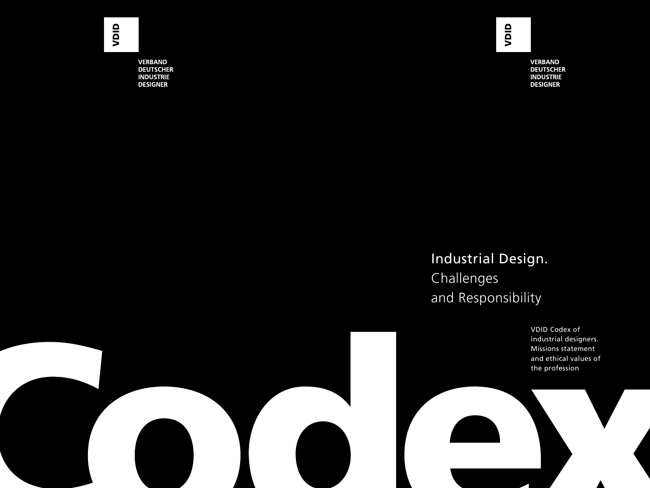**VERBAND DEUTSCHER INDUSTRIE DESIGNER** 

**VERBAND DEUTSCHER INDUSTRIE DESIGNER** 

### Industrial Design. Challenges and Responsibility

VDID Codex of industrial designers. Missions statement and ethical values of the profession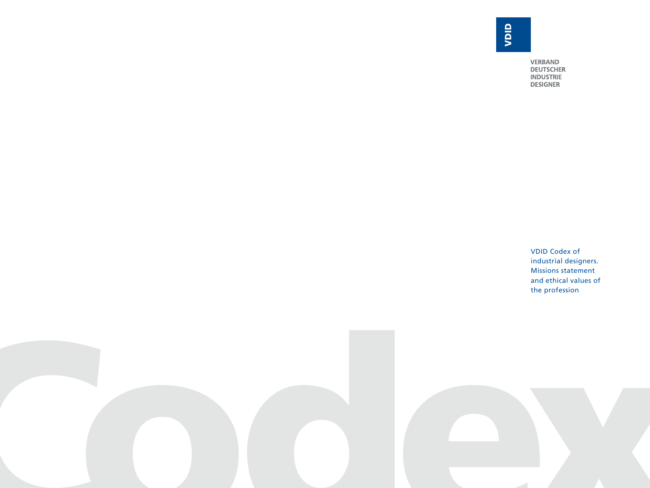**VERBAND DEUTSCHER<br>INDUSTRIE<br>DESIGNER** 

VDID Codex of industrial designers. Missions statement and ethical values of the profession

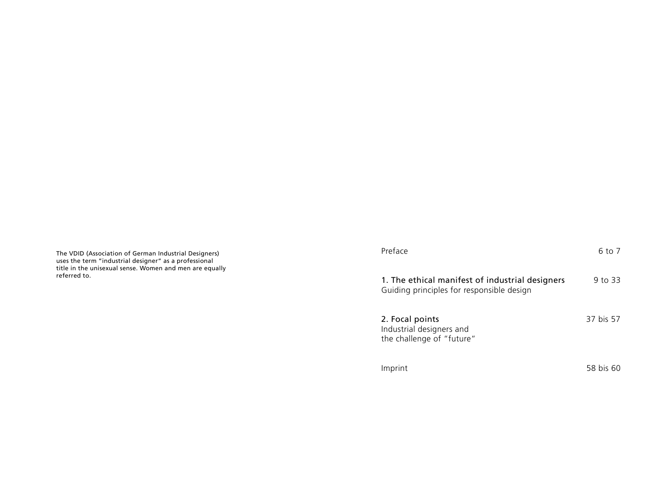The VDID (Association of German Industrial Designers) uses the term "industrial designer" as a professional title in the unisexual sense. Women and men are equally referred to.

| Preface                                                                                      | 6 to 7    |
|----------------------------------------------------------------------------------------------|-----------|
| 1. The ethical manifest of industrial designers<br>Guiding principles for responsible design | 9 to 33   |
| 2. Focal points<br>Industrial designers and<br>the challenge of "future"                     | 37 bis 57 |
| Imprint                                                                                      | 58 bis 60 |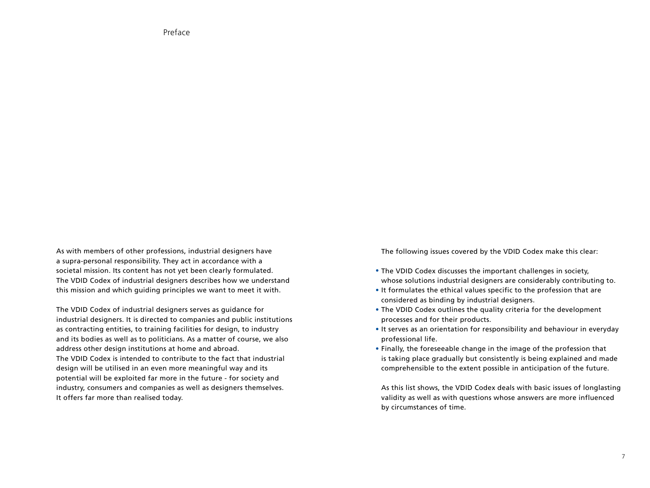Preface

As with members of other professions, industrial designers have a supra-personal responsibility. They act in accordance with a societal mission. Its content has not yet been clearly formulated. The VDID Codex of industrial designers describes how we understand this mission and which guiding principles we want to meet it with.

The VDID Codex of industrial designers serves as guidance for industrial designers. It is directed to companies and public institutions as contracting entities, to training facilities for design, to industry and its bodies as well as to politicians. As a matter of course, we also address other design institutions at home and abroad. The VDID Codex is intended to contribute to the fact that industrial design will be utilised in an even more meaningful way and its potential will be exploited far more in the future - for society and industry, consumers and companies as well as designers themselves.

It offers far more than realised today.

The following issues covered by the VDID Codex make this clear:

- The VDID Codex discusses the important challenges in society, whose solutions industrial designers are considerably contributing to.
- It formulates the ethical values specific to the profession that are considered as binding by industrial designers.
- The VDID Codex outlines the quality criteria for the development processes and for their products.
- It serves as an orientation for responsibility and behaviour in everyday professional life.
- Finally, the foreseeable change in the image of the profession that is taking place gradually but consistently is being explained and made comprehensible to the extent possible in anticipation of the future.

As this list shows, the VDID Codex deals with basic issues of longlasting validity as well as with questions whose answers are more influenced by circumstances of time.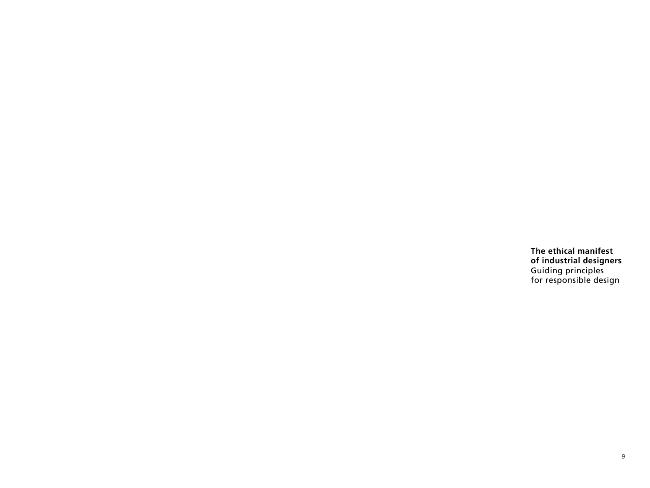**The ethical manifest of industrial designers** Guiding principles for responsible design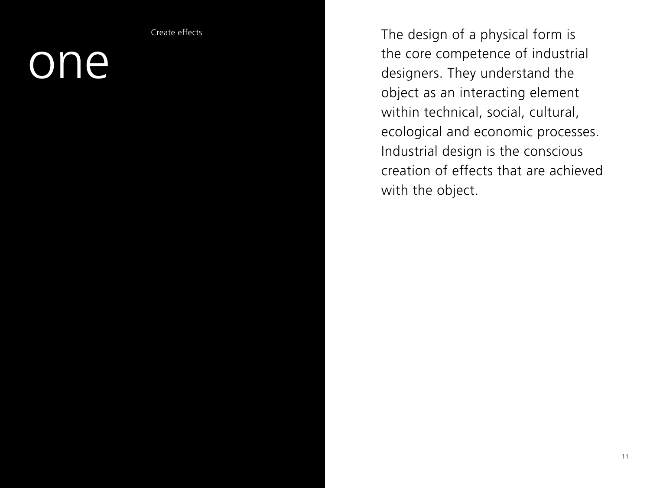Create effects

### one

The design of a physical form is the core competence of industrial designers. They understand the object as an interacting element within technical, social, cultural, ecological and economic processes. Industrial design is the conscious creation of effects that are achieved with the object.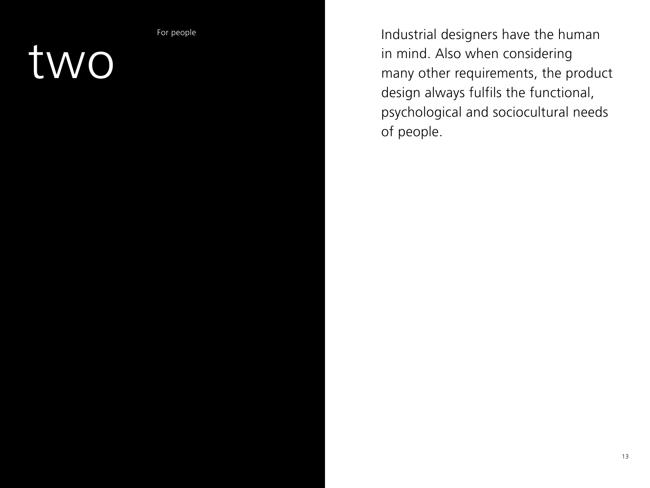For people

### two

Industrial designers have the human in mind. Also when considering many other requirements, the product design always fulfils the functional, psychological and sociocultural needs of people.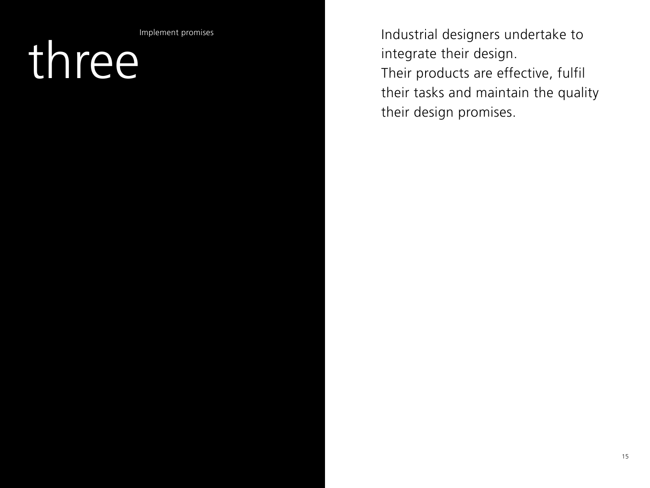Implement promises

## three

Industrial designers undertake to integrate their design. Their products are effective, fulfil their tasks and maintain the quality their design promises.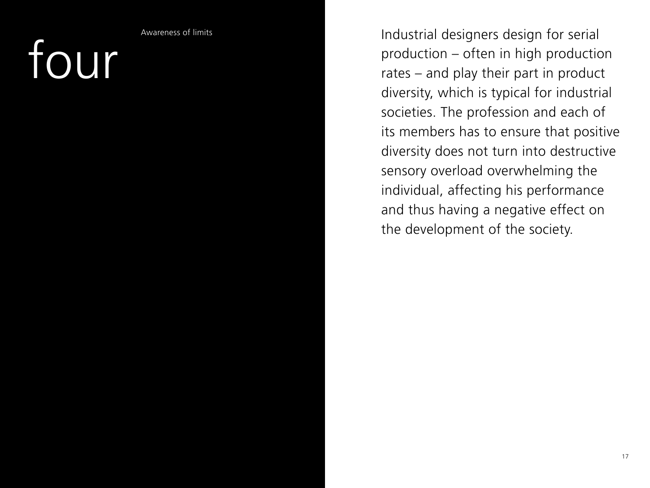four

Awareness of limits

Industrial designers design for serial production – often in high production rates – and play their part in product diversity, which is typical for industrial societies. The profession and each of its members has to ensure that positive diversity does not turn into destructive sensory overload overwhelming the individual, affecting his performance and thus having a negative effect on the development of the society.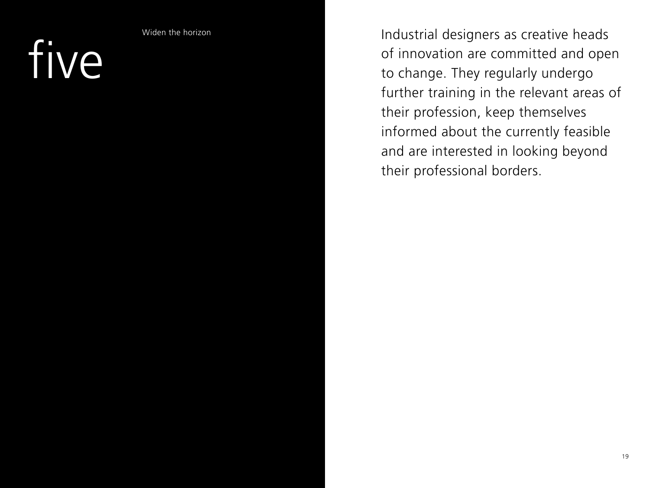five

Widen the horizon

Industrial designers as creative heads of innovation are committed and open to change. They regularly undergo further training in the relevant areas of their profession, keep themselves informed about the currently feasible and are interested in looking beyond their professional borders.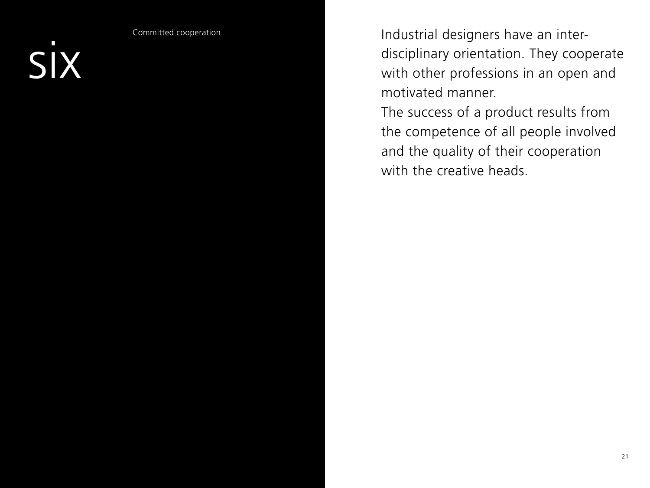six

Committed cooperation

Industrial designers have an interdisciplinary orientation. They cooperate with other professions in an open and motivated manner.

The success of a product results from the competence of all people involved and the quality of their cooperation with the creative heads.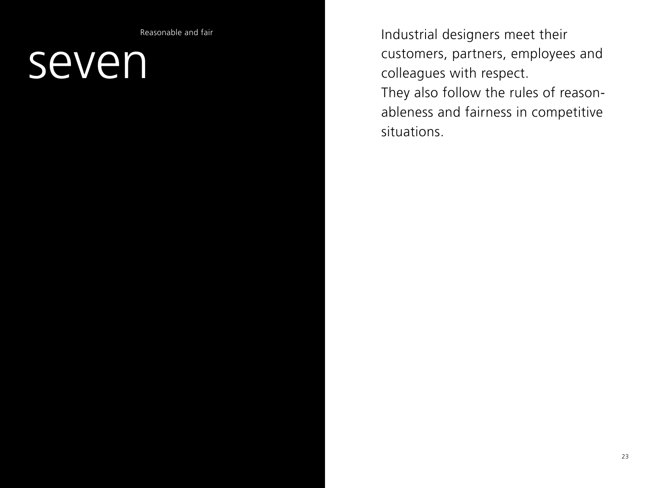Reasonable and fair

### seven

Industrial designers meet their customers, partners, employees and colleagues with respect.

They also follow the rules of reasonableness and fairness in competitive situations.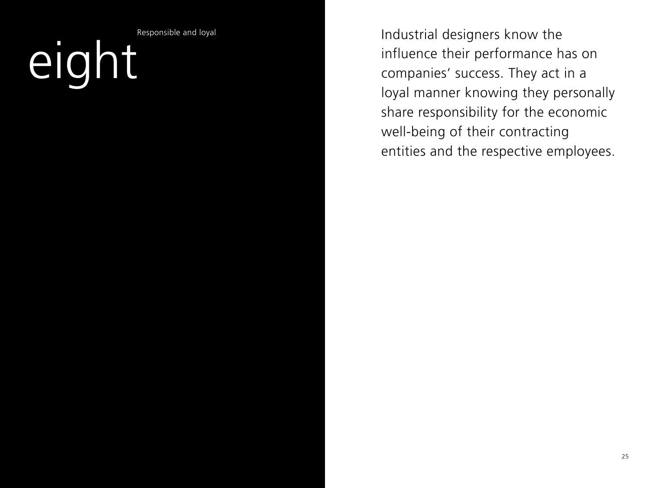Responsible and loyal

# eight

Industrial designers know the influence their performance has on companies' success. They act in a loyal manner knowing they personally share responsibility for the economic well-being of their contracting entities and the respective employees.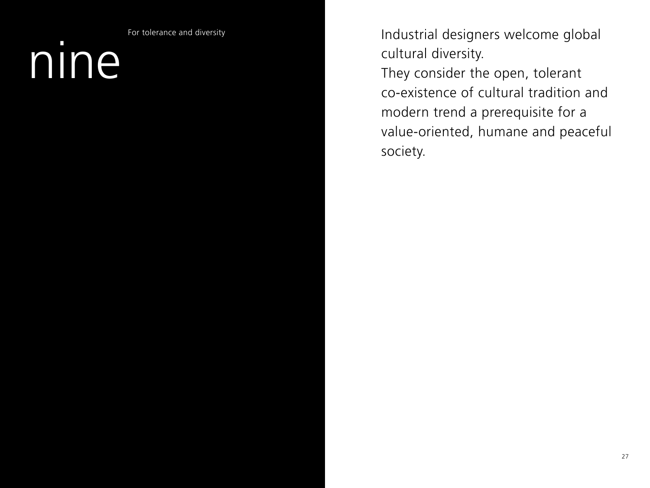For tolerance and diversity

## nine

Industrial designers welcome global cultural diversity. They consider the open, tolerant co-existence of cultural tradition and modern trend a prerequisite for a value-oriented, humane and peaceful society.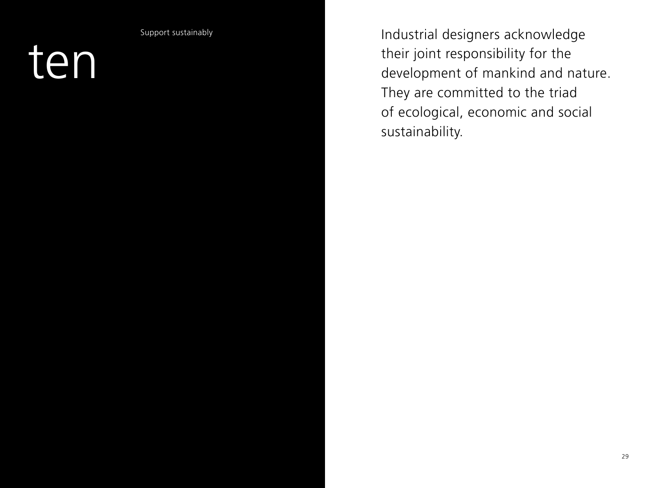Support sustainably

ten

Industrial designers acknowledge their joint responsibility for the development of mankind and nature. They are committed to the triad of ecological, economic and social sustainability.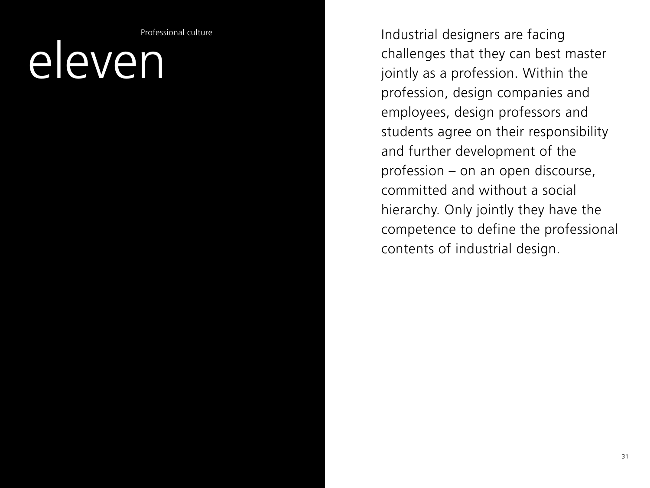Professional culture

### eleven

Industrial designers are facing challenges that they can best master jointly as a profession. Within the profession, design companies and employees, design professors and students agree on their responsibility and further development of the profession – on an open discourse, committed and without a social hierarchy. Only jointly they have the competence to define the professional contents of industrial design.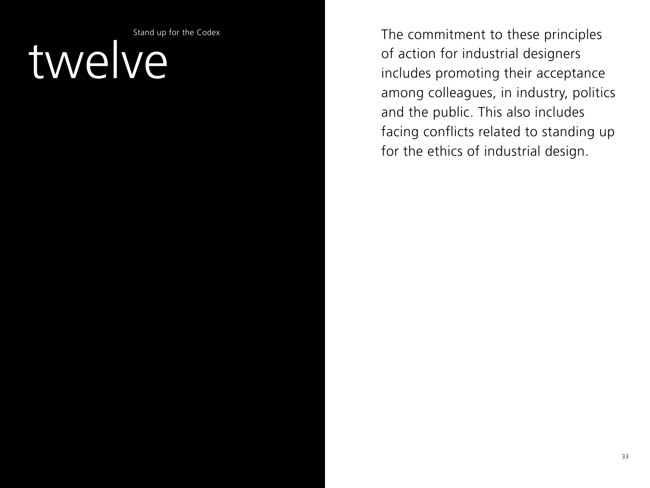Stand up for the Codex

## twelve

The commitment to these principles of action for industrial designers includes promoting their acceptance among colleagues, in industry, politics and the public. This also includes facing conflicts related to standing up for the ethics of industrial design.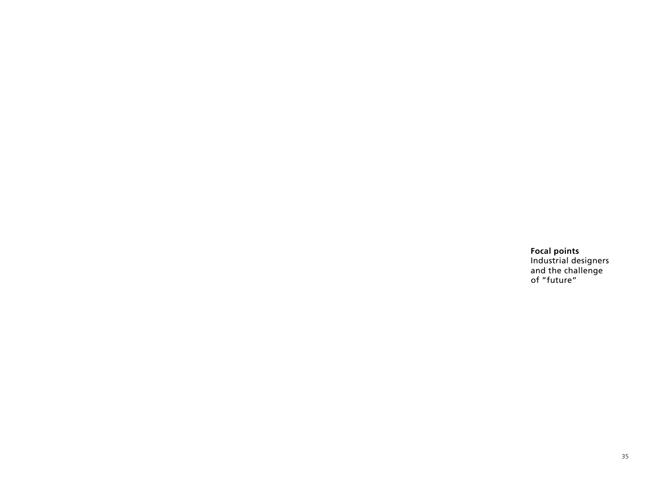**Focal points**  Industrial designers and the challenge of "future"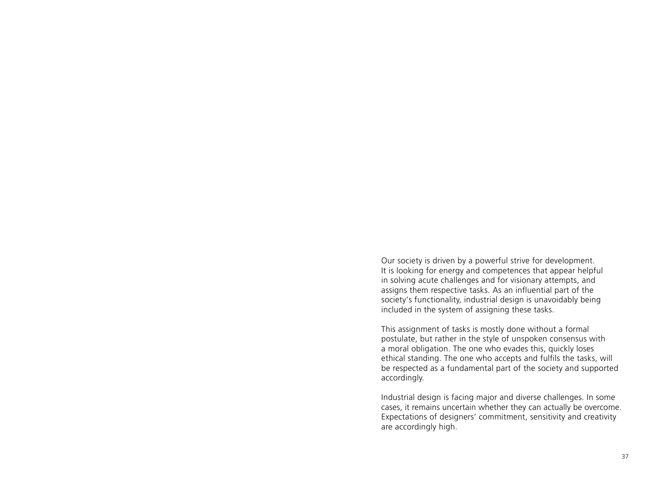Our society is driven by a powerful strive for development. It is looking for energy and competences that appear helpful in solving acute challenges and for visionary attempts, and assigns them respective tasks. As an influential part of the society's functionality, industrial design is unavoidably being included in the system of assigning these tasks.

This assignment of tasks is mostly done without a formal postulate, but rather in the style of unspoken consensus with a moral obligation. The one who evades this, quickly loses ethical standing. The one who accepts and fulfils the tasks, will be respected as a fundamental part of the society and supported accordingly.

Industrial design is facing major and diverse challenges. In some cases, it remains uncertain whether they can actually be overcome. Expectations of designers' commitment, sensitivity and creativity are accordingly high.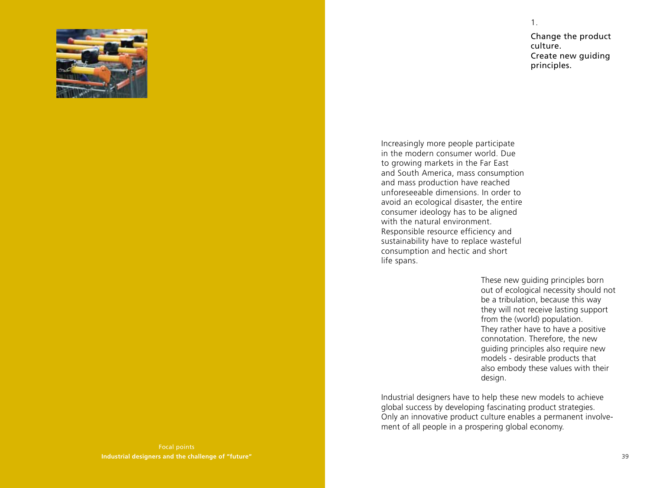

Change the product culture. Create new guiding principles.

1.

Increasingly more people participate in the modern consumer world. Due to growing markets in the Far East and South America, mass consumption and mass production have reached unforeseeable dimensions. In order to avoid an ecological disaster, the entire consumer ideology has to be aligned with the natural environment. Responsible resource efficiency and sustainability have to replace wasteful consumption and hectic and short life spans.

> These new guiding principles born out of ecological necessity should not be a tribulation, because this way they will not receive lasting support from the (world) population. They rather have to have a positive connotation. Therefore, the new guiding principles also require new models - desirable products that also embody these values with their design.

Industrial designers have to help these new models to achieve global success by developing fascinating product strategies. Only an innovative product culture enables a permanent involvement of all people in a prospering global economy.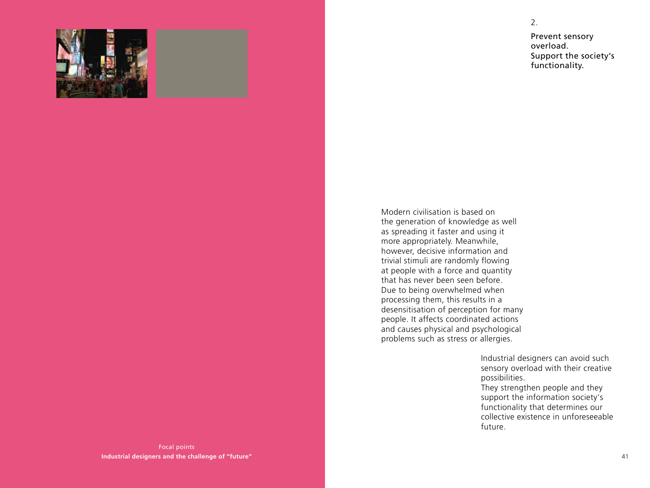

Prevent sensory overload. Support the society's functionality.

Modern civilisation is based on the generation of knowledge as well as spreading it faster and using it more appropriately. Meanwhile, however, decisive information and trivial stimuli are randomly flowing at people with a force and quantity that has never been seen before. Due to being overwhelmed when processing them, this results in a desensitisation of perception for many people. It affects coordinated actions and causes physical and psychological problems such as stress or allergies.

> Industrial designers can avoid such sensory overload with their creative possibilities. They strengthen people and they support the information society's functionality that determines our collective existence in unforeseeable future.

Focal points **Industrial designers and the challenge of "future"** 2.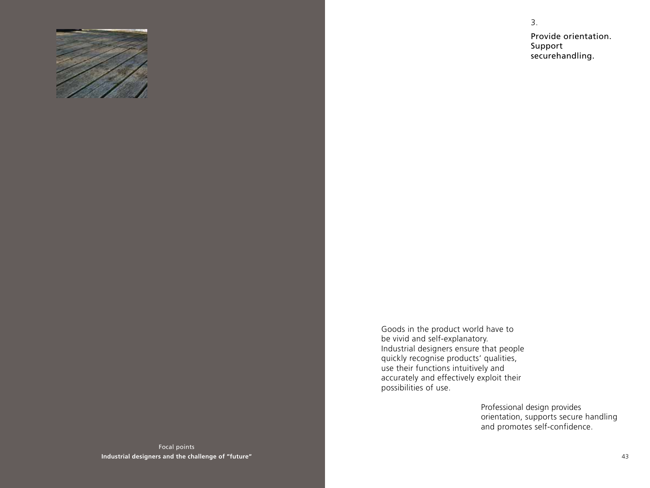

3. Provide orientation. Support securehandling.

Goods in the product world have to be vivid and self-explanatory. Industrial designers ensure that people quickly recognise products' qualities, use their functions intuitively and accurately and effectively exploit their possibilities of use.

> Professional design provides orientation, supports secure handling and promotes self-confidence.

Focal points **Industrial designers and the challenge of "future"**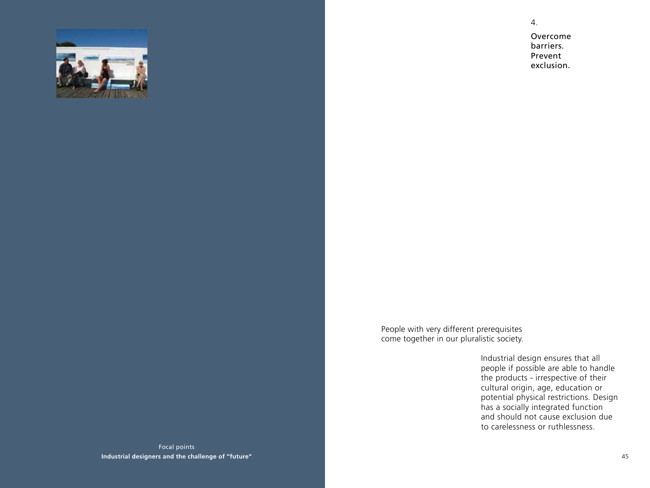

4.

Overcome barriers. Prevent exclusion.

People with very different prerequisites come together in our pluralistic society.

> Industrial design ensures that all people if possible are able to handle the products - irrespective of their cultural origin, age, education or potential physical restrictions. Design has a socially integrated function and should not cause exclusion due to carelessness or ruthlessness.

Focal points **Industrial designers and the challenge of "future"**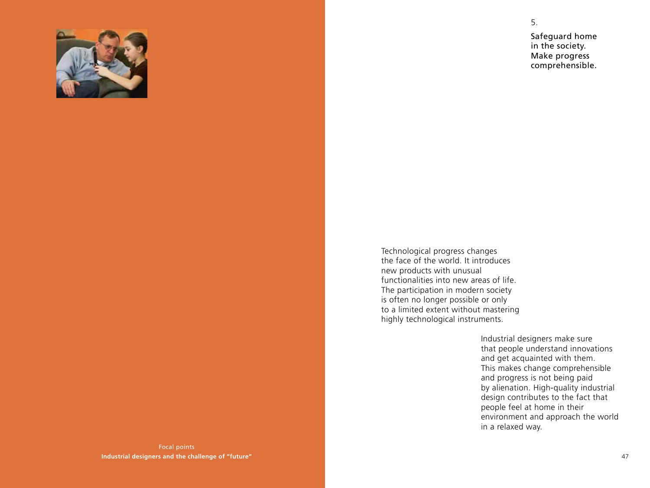

Safeguard home in the society. Make progress

comprehensible.

5.

Technological progress changes the face of the world. It introduces new products with unusual functionalities into new areas of life. The participation in modern society is often no longer possible or only to a limited extent without mastering highly technological instruments.

> Industrial designers make sure that people understand innovations and get acquainted with them. This makes change comprehensible and progress is not being paid by alienation. High-quality industrial design contributes to the fact that people feel at home in their environment and approach the world in a relaxed way.

Focal points **Industrial designers and the challenge of "future"**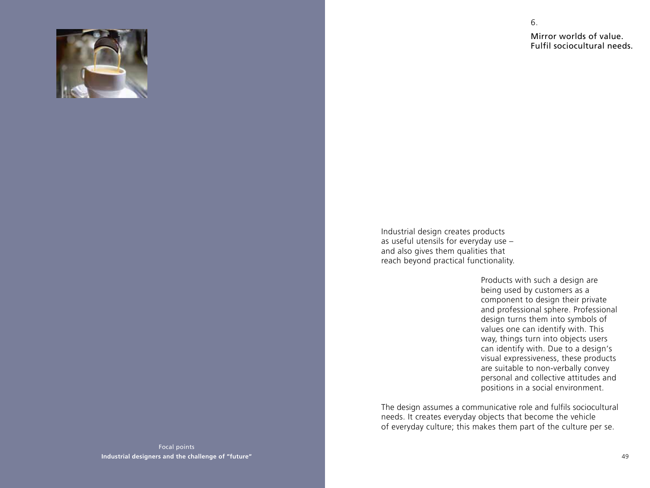

Mirror worlds of value. Fulfil sociocultural needs.

6.

Industrial design creates products as useful utensils for everyday use – and also gives them qualities that reach beyond practical functionality.

> Products with such a design are being used by customers as a component to design their private and professional sphere. Professional design turns them into symbols of values one can identify with. This way, things turn into objects users can identify with. Due to a design's visual expressiveness, these products are suitable to non-verbally convey personal and collective attitudes and positions in a social environment.

The design assumes a communicative role and fulfils sociocultural needs. It creates everyday objects that become the vehicle of everyday culture; this makes them part of the culture per se.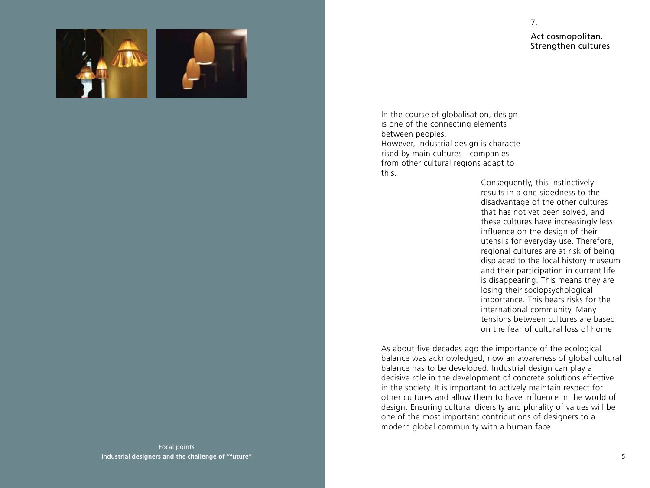

7.





In the course of globalisation, design is one of the connecting elements between peoples. However, industrial design is characterised by main cultures - companies from other cultural regions adapt to this.

Consequently, this instinctively results in a one-sidedness to the disadvantage of the other cultures that has not yet been solved, and these cultures have increasingly less influence on the design of their utensils for everyday use. Therefore, regional cultures are at risk of being displaced to the local history museum and their participation in current life is disappearing. This means they are losing their sociopsychological importance. This bears risks for the international community. Many tensions between cultures are based on the fear of cultural loss of home

As about five decades ago the importance of the ecological balance was acknowledged, now an awareness of global cultural balance has to be developed. Industrial design can play a decisive role in the development of concrete solutions effective in the society. It is important to actively maintain respect for other cultures and allow them to have influence in the world of design. Ensuring cultural diversity and plurality of values will be one of the most important contributions of designers to a modern global community with a human face.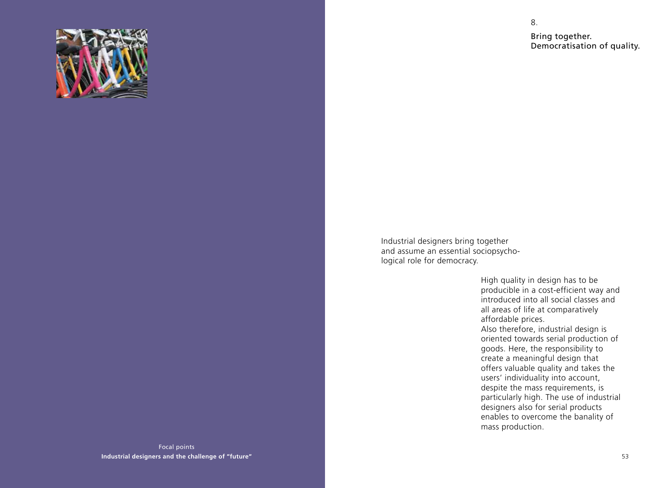

Bring together. Democratisation of quality.

8.

Industrial designers bring together and assume an essential sociopsychological role for democracy.

> High quality in design has to be producible in a cost-efficient way and introduced into all social classes and all areas of life at comparatively affordable prices. Also therefore, industrial design is oriented towards serial production of goods. Here, the responsibility to create a meaningful design that offers valuable quality and takes the users' individuality into account, despite the mass requirements, is particularly high. The use of industrial designers also for serial products enables to overcome the banality of mass production.

Focal points **Industrial designers and the challenge of "future"**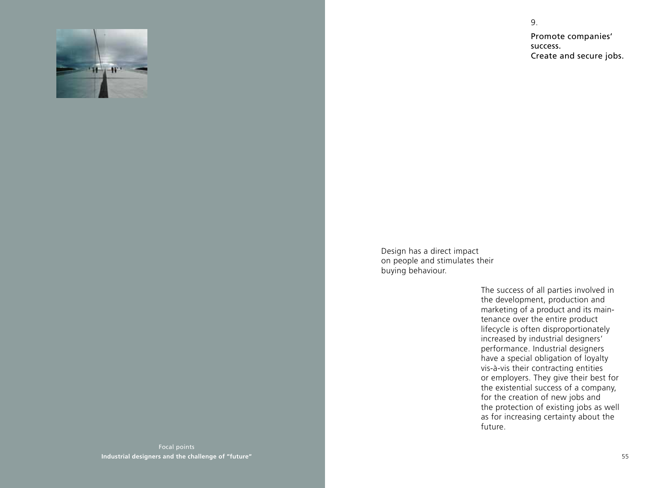

Promote companies' success. Create and secure jobs.

9.

Design has a direct impact on people and stimulates their buying behaviour.

> The success of all parties involved in the development, production and marketing of a product and its maintenance over the entire product lifecycle is often disproportionately increased by industrial designers' performance. Industrial designers have a special obligation of loyalty vis-à-vis their contracting entities or employers. They give their best for the existential success of a company, for the creation of new jobs and the protection of existing jobs as well as for increasing certainty about the future.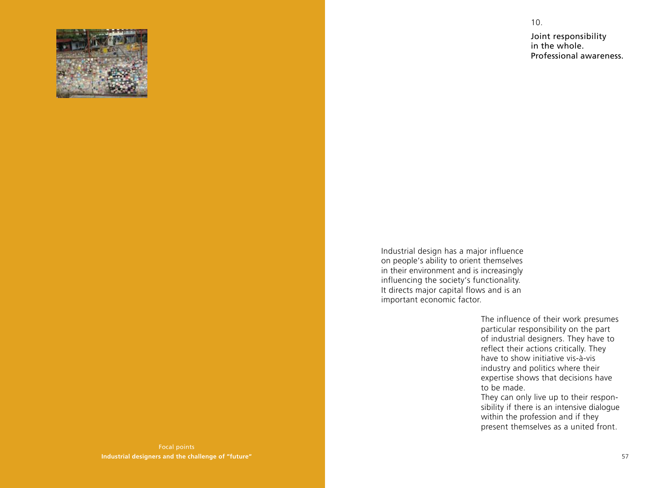

Joint responsibility in the whole. Professional awareness.

10.

Industrial design has a major influence on people's ability to orient themselves in their environment and is increasingly influencing the society's functionality. It directs major capital flows and is an important economic factor.

> The influence of their work presumes particular responsibility on the part of industrial designers. They have to reflect their actions critically. They have to show initiative vis-à-vis industry and politics where their expertise shows that decisions have to be made.

> They can only live up to their responsibility if there is an intensive dialogue within the profession and if they present themselves as a united front.

Focal points **Industrial designers and the challenge of "future"**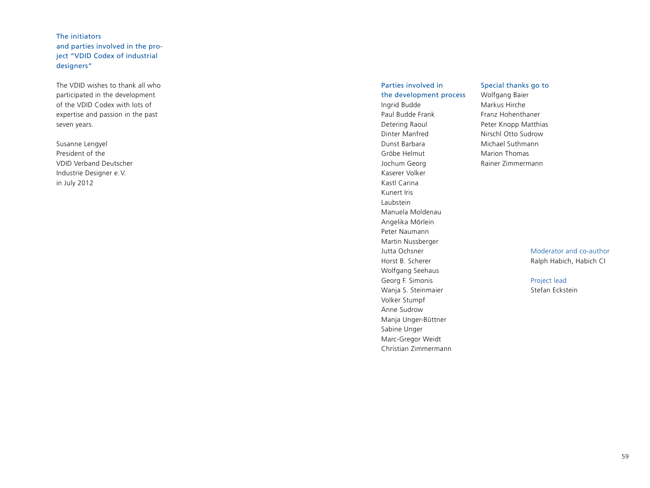### The initiators and parties involved in the project "VDID Codex of industrial designers"

The VDID wishes to thank all who participated in the development of the VDID Codex with lots of expertise and passion in the past seven years.

Susanne Lengyel President of the VDID Verband Deutscher Industrie Designer e. V. in July 2012

### Parties involved in the development process Ingrid Budde Paul Budde Frank Detering Raoul Dinter Manfred Dunst Barbara Gröbe Helmut Jochum Georg Kaserer Volker Kastl Carina Kunert Iris Laubstein Manuela Moldenau Angelika Mörlein Peter Naumann Martin Nussberger Jutta Ochsner Horst B. Scherer Wolfgang Seehaus Georg F. Simonis Wanja S. Steinmaier Volker Stumpf Anne Sudrow Manja Unger-Büttner Sabine Unger Marc-Gregor Weidt

Christian Zimmermann

### Special thanks go to

Wolfgang Baier Markus Hirche Franz Hohenthaner Peter Knopp Matthias Nirschl Otto Sudrow Michael Suthmann Marion Thomas Rainer Zimmermann

> Moderator and co-author Ralph Habich, Habich CI

### Project lead

Stefan Eckstein